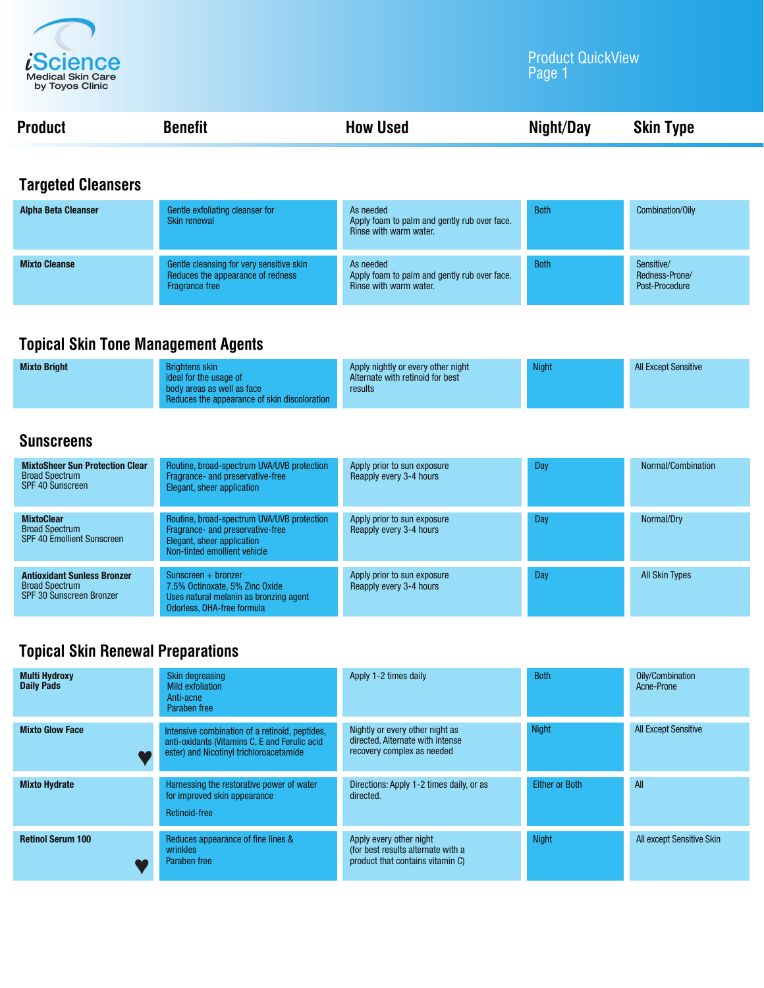

#### Product QuickView Page 1

| <b>Product</b> | <b>Benefit</b> | <b>How Used</b> | <b>Skin Type</b> |
|----------------|----------------|-----------------|------------------|
|                |                |                 |                  |

### **Targeted Cleansers**

| <b>Alpha Beta Cleanser</b> | Gentle exfoliating cleanser for<br><b>Skin renewal</b>                                                 | As needed<br>Apply foam to palm and gently rub over face.<br>Rinse with warm water. | <b>Both</b> | Combination/Oily                               |
|----------------------------|--------------------------------------------------------------------------------------------------------|-------------------------------------------------------------------------------------|-------------|------------------------------------------------|
| <b>Mixto Cleanse</b>       | Gentle cleansing for very sensitive skin<br>Reduces the appearance of redness<br><b>Fragrance free</b> | As needed<br>Apply foam to palm and gently rub over face.<br>Rinse with warm water. | <b>Both</b> | Sensitive/<br>Redness-Prone/<br>Post-Procedure |

### **Topical Skin Tone Management Agents**

| <b>Mixto Bright</b> | <b>Brightens skin</b><br>ideal for the usage of                            | Apply nightly or every other night<br>Alternate with retinoid for best | <b>Night</b> | <b>All Except Sensitive</b> |
|---------------------|----------------------------------------------------------------------------|------------------------------------------------------------------------|--------------|-----------------------------|
|                     | body areas as well as face<br>Reduces the appearance of skin discoloration | results                                                                |              |                             |

#### **Sunscreens**

| <b>MixtoSheer Sun Protection Clear</b><br><b>Broad Spectrum</b><br>SPF 40 Sunscreen            | Routine, broad-spectrum UVA/UVB protection<br>Fragrance- and preservative-free<br>Elegant, sheer application                                 | Apply prior to sun exposure<br>Reapply every 3-4 hours | Day | Normal/Combination    |
|------------------------------------------------------------------------------------------------|----------------------------------------------------------------------------------------------------------------------------------------------|--------------------------------------------------------|-----|-----------------------|
| <b>MixtoClear</b><br><b>Broad Spectrum</b><br><b>SPF 40 Emollient Sunscreen</b>                | Routine, broad-spectrum UVA/UVB protection<br>Fragrance- and preservative-free<br>Elegant, sheer application<br>Non-tinted emollient vehicle | Apply prior to sun exposure<br>Reapply every 3-4 hours | Day | Normal/Dry            |
| <b>Antioxidant Sunless Bronzer</b><br><b>Broad Spectrum</b><br><b>SPF 30 Sunscreen Bronzer</b> | Sunscreen $+$ bronzer<br>7.5% Octinoxate, 5% Zinc Oxide<br>Uses natural melanin as bronzing agent<br>Odorless, DHA-free formula              | Apply prior to sun exposure<br>Reapply every 3-4 hours | Day | <b>All Skin Types</b> |

# **Topical Skin Renewal Preparations**

| <b>Multi Hydroxy</b><br><b>Daily Pads</b> | Skin degreasing<br>Mild exfoliation<br>Anti-acne<br>Paraben free                                                                           | Apply 1-2 times daily                                                                             | <b>Both</b>    | Oily/Combination<br>Acne-Prone |
|-------------------------------------------|--------------------------------------------------------------------------------------------------------------------------------------------|---------------------------------------------------------------------------------------------------|----------------|--------------------------------|
| <b>Mixto Glow Face</b>                    | Intensive combination of a retinoid, peptides,<br>anti-oxidants (Vitamins C, E and Ferulic acid<br>ester) and Nicotinyl trichloroacetamide | Nightly or every other night as<br>directed. Alternate with intense<br>recovery complex as needed | <b>Night</b>   | <b>All Except Sensitive</b>    |
| <b>Mixto Hydrate</b>                      | Harnessing the restorative power of water<br>for improved skin appearance<br>Retinoid-free                                                 | Directions: Apply 1-2 times daily, or as<br>directed.                                             | Either or Both | All                            |
| <b>Retinol Serum 100</b>                  | Reduces appearance of fine lines &<br>wrinkles<br>Paraben free                                                                             | Apply every other night<br>(for best results alternate with a<br>product that contains vitamin C) | <b>Night</b>   | All except Sensitive Skin      |